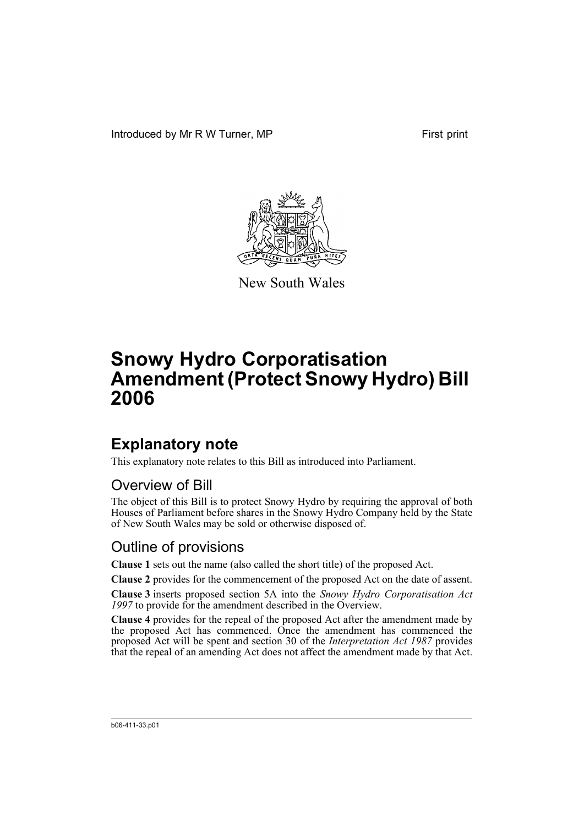Introduced by Mr R W Turner, MP First print



New South Wales

# **Snowy Hydro Corporatisation Amendment (Protect Snowy Hydro) Bill 2006**

## **Explanatory note**

This explanatory note relates to this Bill as introduced into Parliament.

#### Overview of Bill

The object of this Bill is to protect Snowy Hydro by requiring the approval of both Houses of Parliament before shares in the Snowy Hydro Company held by the State of New South Wales may be sold or otherwise disposed of.

#### Outline of provisions

**Clause 1** sets out the name (also called the short title) of the proposed Act.

**Clause 2** provides for the commencement of the proposed Act on the date of assent.

**Clause 3** inserts proposed section 5A into the *Snowy Hydro Corporatisation Act 1997* to provide for the amendment described in the Overview.

**Clause 4** provides for the repeal of the proposed Act after the amendment made by the proposed Act has commenced. Once the amendment has commenced the proposed Act will be spent and section 30 of the *Interpretation Act 1987* provides that the repeal of an amending Act does not affect the amendment made by that Act.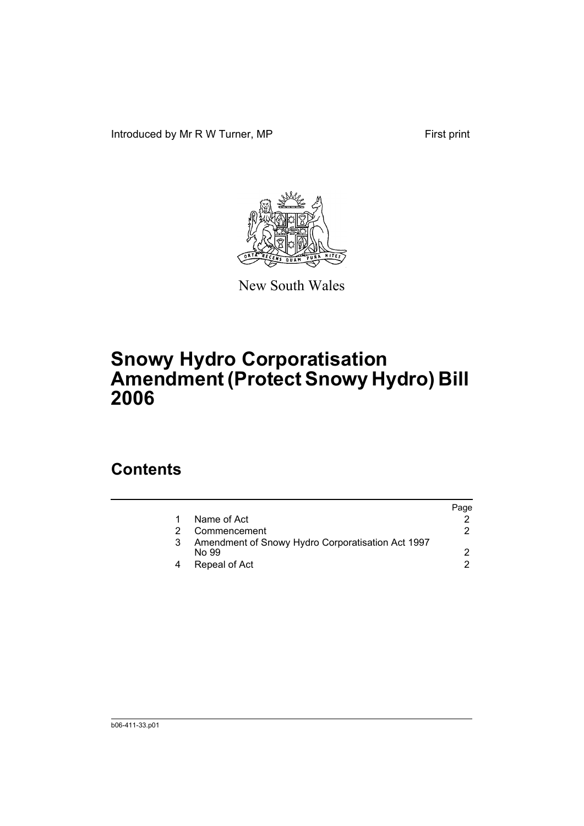Introduced by Mr R W Turner, MP First print



New South Wales

# **Snowy Hydro Corporatisation Amendment (Protect Snowy Hydro) Bill 2006**

### **Contents**

|                                                            | Page |
|------------------------------------------------------------|------|
| Name of Act                                                |      |
| Commencement                                               |      |
| Amendment of Snowy Hydro Corporatisation Act 1997<br>No 99 |      |
| Repeal of Act                                              |      |
|                                                            | 3    |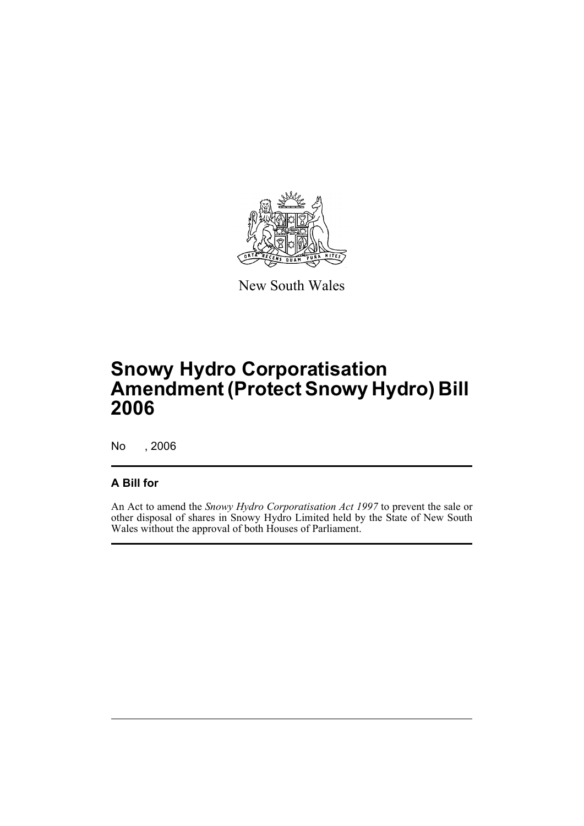

New South Wales

## **Snowy Hydro Corporatisation Amendment (Protect Snowy Hydro) Bill 2006**

No , 2006

#### **A Bill for**

An Act to amend the *Snowy Hydro Corporatisation Act 1997* to prevent the sale or other disposal of shares in Snowy Hydro Limited held by the State of New South Wales without the approval of both Houses of Parliament.